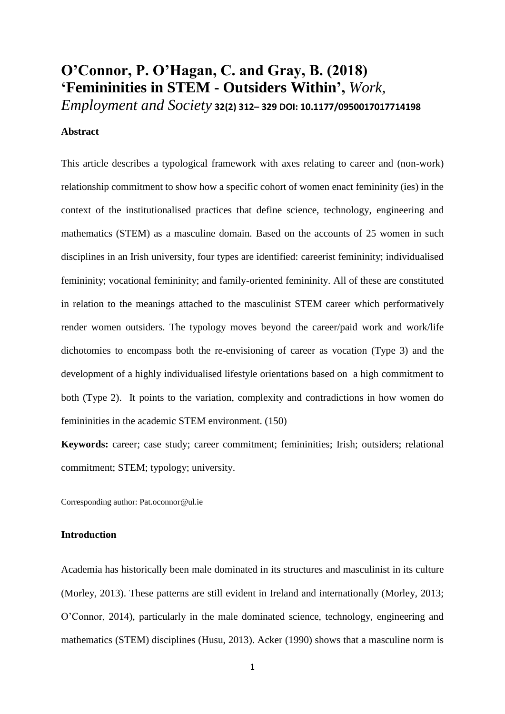# **O'Connor, P. O'Hagan, C. and Gray, B. (2018) 'Femininities in STEM - Outsiders Within',** *Work,*

*Employment and Society* **32(2) 312– 329 DOI: 10.1177/0950017017714198**

### **Abstract**

This article describes a typological framework with axes relating to career and (non-work) relationship commitment to show how a specific cohort of women enact femininity (ies) in the context of the institutionalised practices that define science, technology, engineering and mathematics (STEM) as a masculine domain. Based on the accounts of 25 women in such disciplines in an Irish university, four types are identified: careerist femininity; individualised femininity; vocational femininity; and family-oriented femininity. All of these are constituted in relation to the meanings attached to the masculinist STEM career which performatively render women outsiders. The typology moves beyond the career/paid work and work/life dichotomies to encompass both the re-envisioning of career as vocation (Type 3) and the development of a highly individualised lifestyle orientations based on a high commitment to both (Type 2). It points to the variation, complexity and contradictions in how women do femininities in the academic STEM environment. (150)

**Keywords:** career; case study; career commitment; femininities; Irish; outsiders; relational commitment; STEM; typology; university.

Corresponding author: Pat.oconnor@ul.ie

# **Introduction**

Academia has historically been male dominated in its structures and masculinist in its culture (Morley, 2013). These patterns are still evident in Ireland and internationally (Morley, 2013; O'Connor, 2014), particularly in the male dominated science, technology, engineering and mathematics (STEM) disciplines (Husu, 2013). Acker (1990) shows that a masculine norm is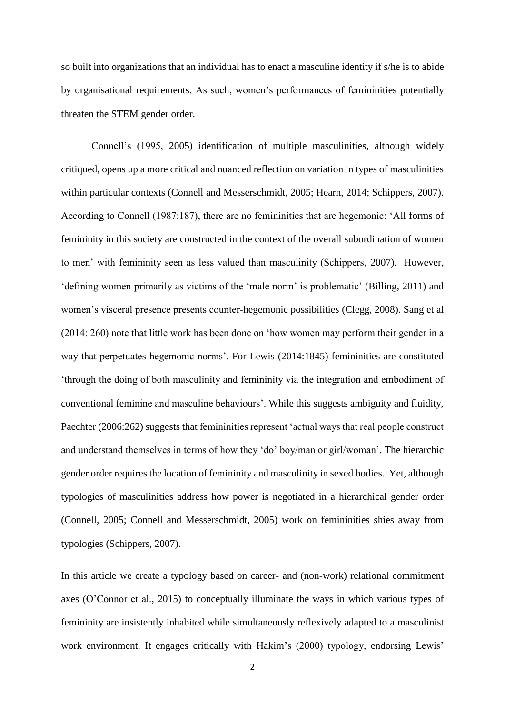so built into organizations that an individual has to enact a masculine identity if s/he is to abide by organisational requirements. As such, women's performances of femininities potentially threaten the STEM gender order.

Connell's (1995, 2005) identification of multiple masculinities, although widely critiqued, opens up a more critical and nuanced reflection on variation in types of masculinities within particular contexts (Connell and Messerschmidt, 2005; Hearn, 2014; Schippers, 2007). According to Connell (1987:187), there are no femininities that are hegemonic: 'All forms of femininity in this society are constructed in the context of the overall subordination of women to men' with femininity seen as less valued than masculinity (Schippers, 2007). However, 'defining women primarily as victims of the 'male norm' is problematic' (Billing, 2011) and women's visceral presence presents counter-hegemonic possibilities (Clegg, 2008). Sang et al (2014: 260) note that little work has been done on 'how women may perform their gender in a way that perpetuates hegemonic norms'. For Lewis (2014:1845) femininities are constituted 'through the doing of both masculinity and femininity via the integration and embodiment of conventional feminine and masculine behaviours'. While this suggests ambiguity and fluidity, Paechter (2006:262) suggests that femininities represent 'actual ways that real people construct and understand themselves in terms of how they 'do' boy/man or girl/woman'. The hierarchic gender order requires the location of femininity and masculinity in sexed bodies. Yet, although typologies of masculinities address how power is negotiated in a hierarchical gender order (Connell, 2005; Connell and Messerschmidt, 2005) work on femininities shies away from typologies (Schippers, 2007).

In this article we create a typology based on career- and (non-work) relational commitment axes (O'Connor et al., 2015) to conceptually illuminate the ways in which various types of femininity are insistently inhabited while simultaneously reflexively adapted to a masculinist work environment. It engages critically with Hakim's (2000) typology, endorsing Lewis'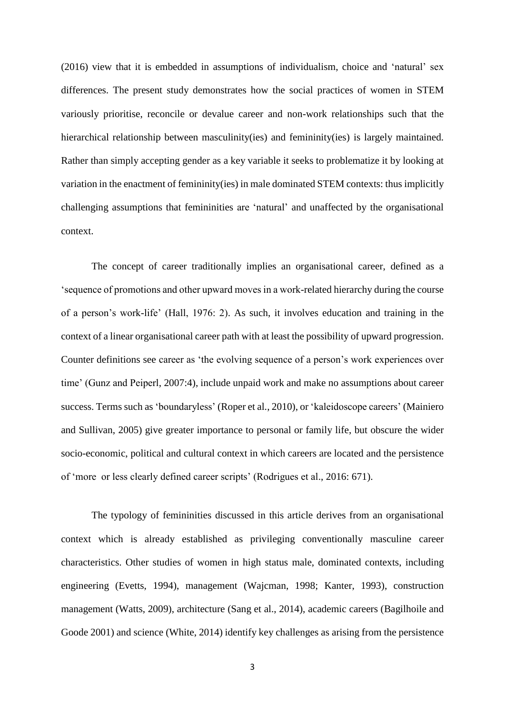(2016) view that it is embedded in assumptions of individualism, choice and 'natural' sex differences. The present study demonstrates how the social practices of women in STEM variously prioritise, reconcile or devalue career and non-work relationships such that the hierarchical relationship between masculinity(ies) and femininity(ies) is largely maintained. Rather than simply accepting gender as a key variable it seeks to problematize it by looking at variation in the enactment of femininity(ies) in male dominated STEM contexts: thus implicitly challenging assumptions that femininities are 'natural' and unaffected by the organisational context.

The concept of career traditionally implies an organisational career, defined as a 'sequence of promotions and other upward moves in a work-related hierarchy during the course of a person's work-life' (Hall, 1976: 2). As such, it involves education and training in the context of a linear organisational career path with at least the possibility of upward progression. Counter definitions see career as 'the evolving sequence of a person's work experiences over time' (Gunz and Peiperl, 2007:4), include unpaid work and make no assumptions about career success. Terms such as 'boundaryless' (Roper et al., 2010), or 'kaleidoscope careers' (Mainiero and Sullivan, 2005) give greater importance to personal or family life, but obscure the wider socio-economic, political and cultural context in which careers are located and the persistence of 'more or less clearly defined career scripts' (Rodrigues et al., 2016: 671).

The typology of femininities discussed in this article derives from an organisational context which is already established as privileging conventionally masculine career characteristics. Other studies of women in high status male, dominated contexts, including engineering (Evetts, 1994), management (Wajcman, 1998; Kanter, 1993), construction management (Watts, 2009), architecture (Sang et al., 2014), academic careers (Bagilhoile and Goode 2001) and science (White, 2014) identify key challenges as arising from the persistence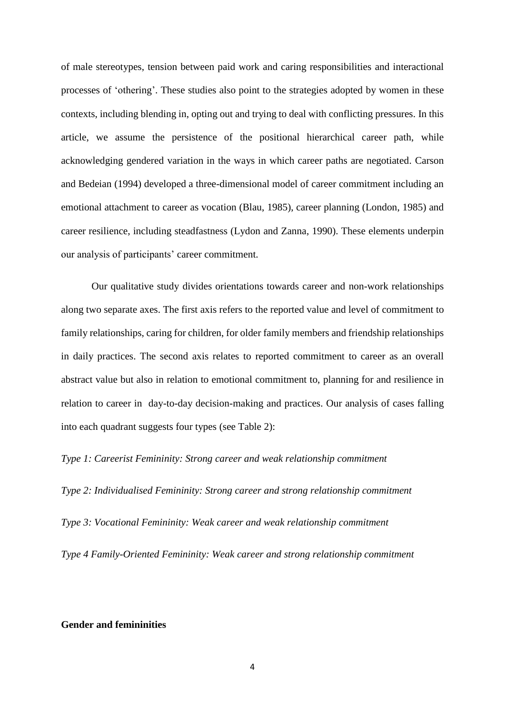of male stereotypes, tension between paid work and caring responsibilities and interactional processes of 'othering'. These studies also point to the strategies adopted by women in these contexts, including blending in, opting out and trying to deal with conflicting pressures. In this article, we assume the persistence of the positional hierarchical career path, while acknowledging gendered variation in the ways in which career paths are negotiated. Carson and Bedeian (1994) developed a three-dimensional model of career commitment including an emotional attachment to career as vocation (Blau, 1985), career planning (London, 1985) and career resilience, including steadfastness (Lydon and Zanna, 1990). These elements underpin our analysis of participants' career commitment.

Our qualitative study divides orientations towards career and non-work relationships along two separate axes. The first axis refers to the reported value and level of commitment to family relationships, caring for children, for older family members and friendship relationships in daily practices. The second axis relates to reported commitment to career as an overall abstract value but also in relation to emotional commitment to, planning for and resilience in relation to career in day-to-day decision-making and practices. Our analysis of cases falling into each quadrant suggests four types (see Table 2):

*Type 1: Careerist Femininity: Strong career and weak relationship commitment*

*Type 2: Individualised Femininity: Strong career and strong relationship commitment Type 3: Vocational Femininity: Weak career and weak relationship commitment*

*Type 4 Family-Oriented Femininity: Weak career and strong relationship commitment* 

### **Gender and femininities**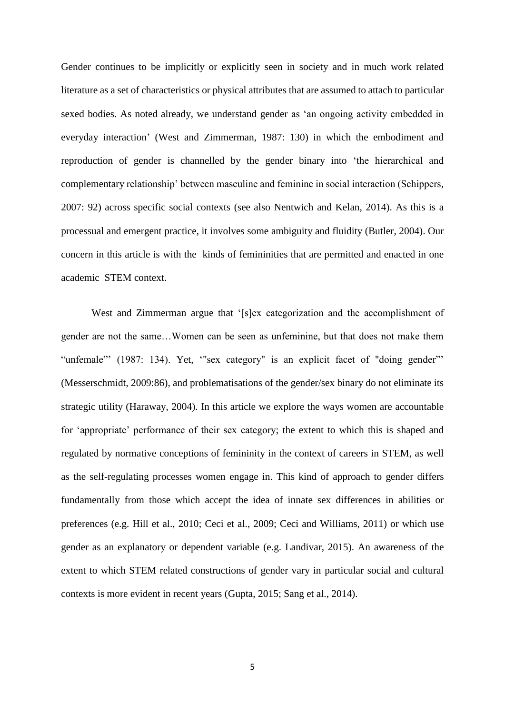Gender continues to be implicitly or explicitly seen in society and in much work related literature as a set of characteristics or physical attributes that are assumed to attach to particular sexed bodies. As noted already, we understand gender as 'an ongoing activity embedded in everyday interaction' (West and Zimmerman, 1987: 130) in which the embodiment and reproduction of gender is channelled by the gender binary into 'the hierarchical and complementary relationship' between masculine and feminine in social interaction (Schippers, 2007: 92) across specific social contexts (see also Nentwich and Kelan, 2014). As this is a processual and emergent practice, it involves some ambiguity and fluidity (Butler, 2004). Our concern in this article is with the kinds of femininities that are permitted and enacted in one academic STEM context.

West and Zimmerman argue that '[s]ex categorization and the accomplishment of gender are not the same…Women can be seen as unfeminine, but that does not make them "unfemale"' (1987: 134). Yet, "sex category" is an explicit facet of "doing gender"' (Messerschmidt, 2009:86), and problematisations of the gender/sex binary do not eliminate its strategic utility (Haraway, 2004). In this article we explore the ways women are accountable for 'appropriate' performance of their sex category; the extent to which this is shaped and regulated by normative conceptions of femininity in the context of careers in STEM, as well as the self-regulating processes women engage in. This kind of approach to gender differs fundamentally from those which accept the idea of innate sex differences in abilities or preferences (e.g. Hill et al., 2010; Ceci et al., 2009; Ceci and Williams, 2011) or which use gender as an explanatory or dependent variable (e.g. Landivar, 2015). An awareness of the extent to which STEM related constructions of gender vary in particular social and cultural contexts is more evident in recent years (Gupta, 2015; Sang et al., 2014).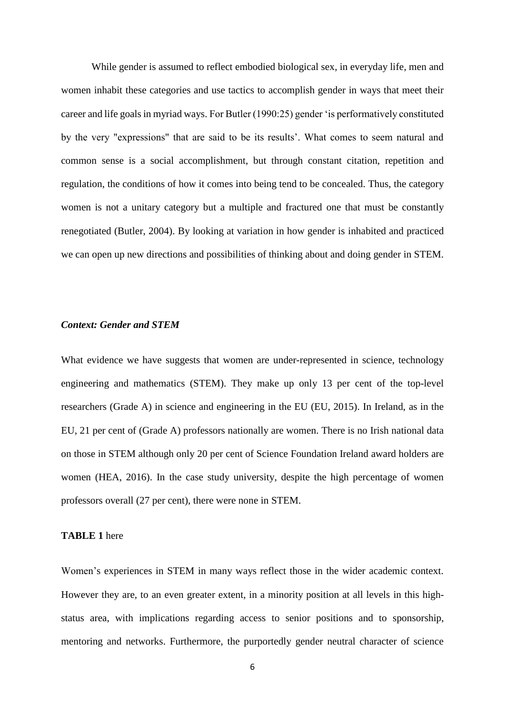While gender is assumed to reflect embodied biological sex, in everyday life, men and women inhabit these categories and use tactics to accomplish gender in ways that meet their career and life goals in myriad ways. For Butler (1990:25) gender 'is performatively constituted by the very "expressions" that are said to be its results'. What comes to seem natural and common sense is a social accomplishment, but through constant citation, repetition and regulation, the conditions of how it comes into being tend to be concealed. Thus, the category women is not a unitary category but a multiple and fractured one that must be constantly renegotiated (Butler, 2004). By looking at variation in how gender is inhabited and practiced we can open up new directions and possibilities of thinking about and doing gender in STEM.

# *Context: Gender and STEM*

What evidence we have suggests that women are under-represented in science, technology engineering and mathematics (STEM). They make up only 13 per cent of the top-level researchers (Grade A) in science and engineering in the EU (EU, 2015). In Ireland, as in the EU, 21 per cent of (Grade A) professors nationally are women. There is no Irish national data on those in STEM although only 20 per cent of Science Foundation Ireland award holders are women (HEA, 2016). In the case study university, despite the high percentage of women professors overall (27 per cent), there were none in STEM.

#### **TABLE 1** here

Women's experiences in STEM in many ways reflect those in the wider academic context. However they are, to an even greater extent, in a minority position at all levels in this highstatus area, with implications regarding access to senior positions and to sponsorship, mentoring and networks. Furthermore, the purportedly gender neutral character of science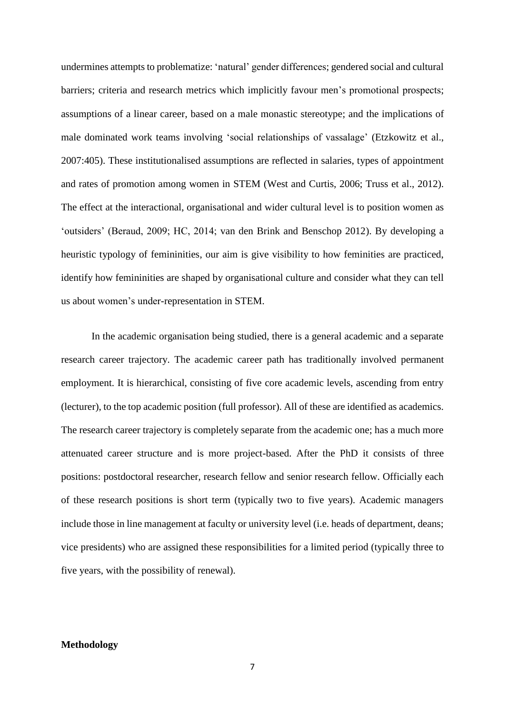undermines attempts to problematize: 'natural' gender differences; gendered social and cultural barriers; criteria and research metrics which implicitly favour men's promotional prospects; assumptions of a linear career, based on a male monastic stereotype; and the implications of male dominated work teams involving 'social relationships of vassalage' (Etzkowitz et al., 2007:405). These institutionalised assumptions are reflected in salaries, types of appointment and rates of promotion among women in STEM (West and Curtis, 2006; Truss et al., 2012). The effect at the interactional, organisational and wider cultural level is to position women as 'outsiders' (Beraud, 2009; HC, 2014; van den Brink and Benschop 2012). By developing a heuristic typology of femininities, our aim is give visibility to how feminities are practiced, identify how femininities are shaped by organisational culture and consider what they can tell us about women's under-representation in STEM.

In the academic organisation being studied, there is a general academic and a separate research career trajectory. The academic career path has traditionally involved permanent employment. It is hierarchical, consisting of five core academic levels, ascending from entry (lecturer), to the top academic position (full professor). All of these are identified as academics. The research career trajectory is completely separate from the academic one; has a much more attenuated career structure and is more project-based. After the PhD it consists of three positions: postdoctoral researcher, research fellow and senior research fellow. Officially each of these research positions is short term (typically two to five years). Academic managers include those in line management at faculty or university level (i.e. heads of department, deans; vice presidents) who are assigned these responsibilities for a limited period (typically three to five years, with the possibility of renewal).

## **Methodology**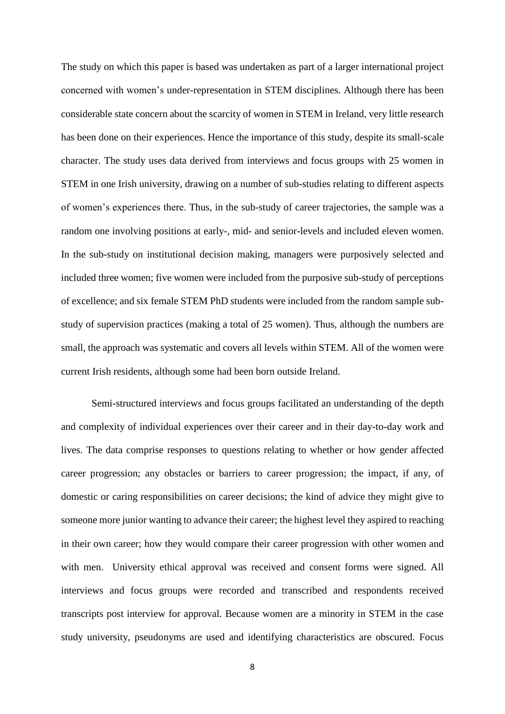The study on which this paper is based was undertaken as part of a larger international project concerned with women's under-representation in STEM disciplines. Although there has been considerable state concern about the scarcity of women in STEM in Ireland, very little research has been done on their experiences. Hence the importance of this study, despite its small-scale character. The study uses data derived from interviews and focus groups with 25 women in STEM in one Irish university, drawing on a number of sub-studies relating to different aspects of women's experiences there. Thus, in the sub-study of career trajectories, the sample was a random one involving positions at early-, mid- and senior-levels and included eleven women. In the sub-study on institutional decision making, managers were purposively selected and included three women; five women were included from the purposive sub-study of perceptions of excellence; and six female STEM PhD students were included from the random sample substudy of supervision practices (making a total of 25 women). Thus, although the numbers are small, the approach was systematic and covers all levels within STEM. All of the women were current Irish residents, although some had been born outside Ireland.

Semi-structured interviews and focus groups facilitated an understanding of the depth and complexity of individual experiences over their career and in their day-to-day work and lives. The data comprise responses to questions relating to whether or how gender affected career progression; any obstacles or barriers to career progression; the impact, if any, of domestic or caring responsibilities on career decisions; the kind of advice they might give to someone more junior wanting to advance their career; the highest level they aspired to reaching in their own career; how they would compare their career progression with other women and with men. University ethical approval was received and consent forms were signed. All interviews and focus groups were recorded and transcribed and respondents received transcripts post interview for approval. Because women are a minority in STEM in the case study university, pseudonyms are used and identifying characteristics are obscured. Focus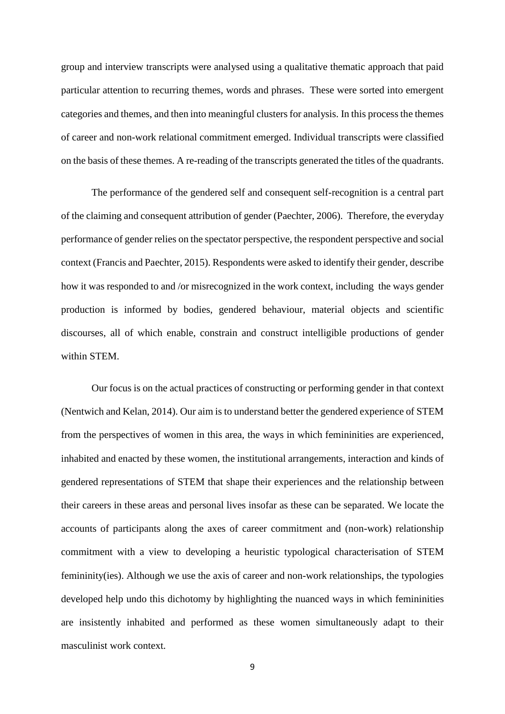group and interview transcripts were analysed using a qualitative thematic approach that paid particular attention to recurring themes, words and phrases. These were sorted into emergent categories and themes, and then into meaningful clusters for analysis. In this process the themes of career and non-work relational commitment emerged. Individual transcripts were classified on the basis of these themes. A re-reading of the transcripts generated the titles of the quadrants.

The performance of the gendered self and consequent self-recognition is a central part of the claiming and consequent attribution of gender (Paechter, 2006). Therefore, the everyday performance of gender relies on the spectator perspective, the respondent perspective and social context (Francis and Paechter, 2015). Respondents were asked to identify their gender, describe how it was responded to and /or misrecognized in the work context, including the ways gender production is informed by bodies, gendered behaviour, material objects and scientific discourses, all of which enable, constrain and construct intelligible productions of gender within STEM.

Our focus is on the actual practices of constructing or performing gender in that context (Nentwich and Kelan, 2014). Our aim is to understand better the gendered experience of STEM from the perspectives of women in this area, the ways in which femininities are experienced, inhabited and enacted by these women, the institutional arrangements, interaction and kinds of gendered representations of STEM that shape their experiences and the relationship between their careers in these areas and personal lives insofar as these can be separated. We locate the accounts of participants along the axes of career commitment and (non-work) relationship commitment with a view to developing a heuristic typological characterisation of STEM femininity(ies). Although we use the axis of career and non-work relationships, the typologies developed help undo this dichotomy by highlighting the nuanced ways in which femininities are insistently inhabited and performed as these women simultaneously adapt to their masculinist work context.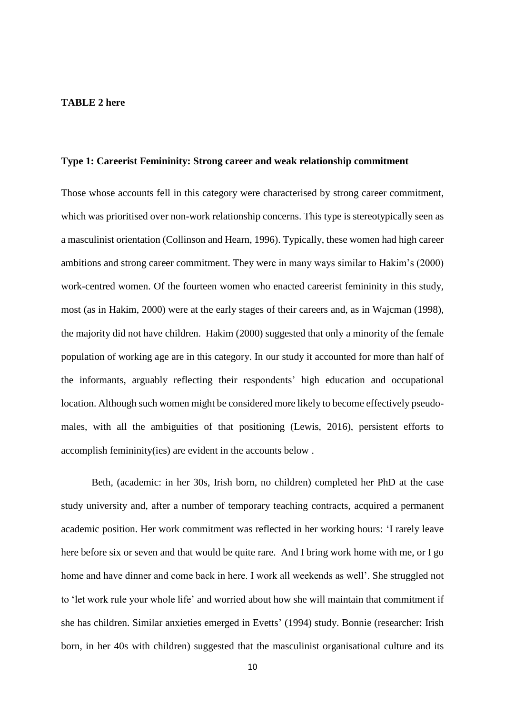#### **TABLE 2 here**

#### **Type 1: Careerist Femininity: Strong career and weak relationship commitment**

Those whose accounts fell in this category were characterised by strong career commitment, which was prioritised over non-work relationship concerns. This type is stereotypically seen as a masculinist orientation (Collinson and Hearn, 1996). Typically, these women had high career ambitions and strong career commitment. They were in many ways similar to Hakim's (2000) work-centred women. Of the fourteen women who enacted careerist femininity in this study, most (as in Hakim, 2000) were at the early stages of their careers and, as in Wajcman (1998), the majority did not have children. Hakim (2000) suggested that only a minority of the female population of working age are in this category. In our study it accounted for more than half of the informants, arguably reflecting their respondents' high education and occupational location. Although such women might be considered more likely to become effectively pseudomales, with all the ambiguities of that positioning (Lewis, 2016), persistent efforts to accomplish femininity(ies) are evident in the accounts below .

Beth, (academic: in her 30s, Irish born, no children) completed her PhD at the case study university and, after a number of temporary teaching contracts, acquired a permanent academic position. Her work commitment was reflected in her working hours: 'I rarely leave here before six or seven and that would be quite rare. And I bring work home with me, or I go home and have dinner and come back in here. I work all weekends as well'. She struggled not to 'let work rule your whole life' and worried about how she will maintain that commitment if she has children. Similar anxieties emerged in Evetts' (1994) study. Bonnie (researcher: Irish born, in her 40s with children) suggested that the masculinist organisational culture and its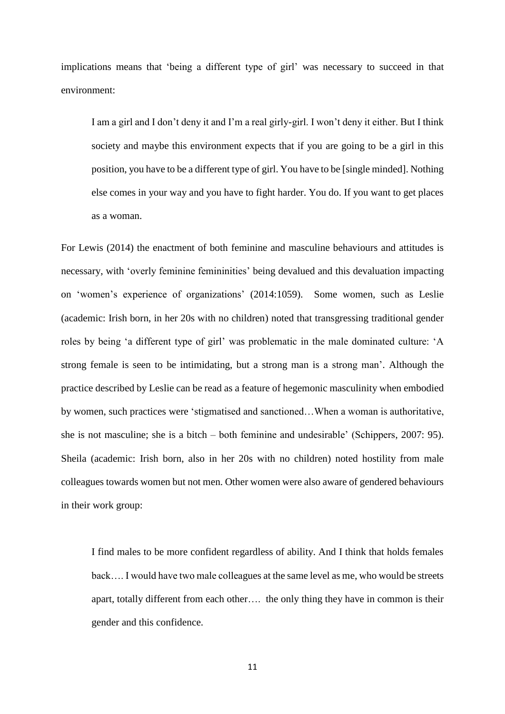implications means that 'being a different type of girl' was necessary to succeed in that environment:

I am a girl and I don't deny it and I'm a real girly-girl. I won't deny it either. But I think society and maybe this environment expects that if you are going to be a girl in this position, you have to be a different type of girl. You have to be [single minded]. Nothing else comes in your way and you have to fight harder. You do. If you want to get places as a woman.

For Lewis (2014) the enactment of both feminine and masculine behaviours and attitudes is necessary, with 'overly feminine femininities' being devalued and this devaluation impacting on 'women's experience of organizations' (2014:1059). Some women, such as Leslie (academic: Irish born, in her 20s with no children) noted that transgressing traditional gender roles by being 'a different type of girl' was problematic in the male dominated culture: 'A strong female is seen to be intimidating, but a strong man is a strong man'. Although the practice described by Leslie can be read as a feature of hegemonic masculinity when embodied by women, such practices were 'stigmatised and sanctioned…When a woman is authoritative, she is not masculine; she is a bitch – both feminine and undesirable' (Schippers, 2007: 95). Sheila (academic: Irish born, also in her 20s with no children) noted hostility from male colleagues towards women but not men. Other women were also aware of gendered behaviours in their work group:

I find males to be more confident regardless of ability. And I think that holds females back…. I would have two male colleagues at the same level as me, who would be streets apart, totally different from each other…. the only thing they have in common is their gender and this confidence.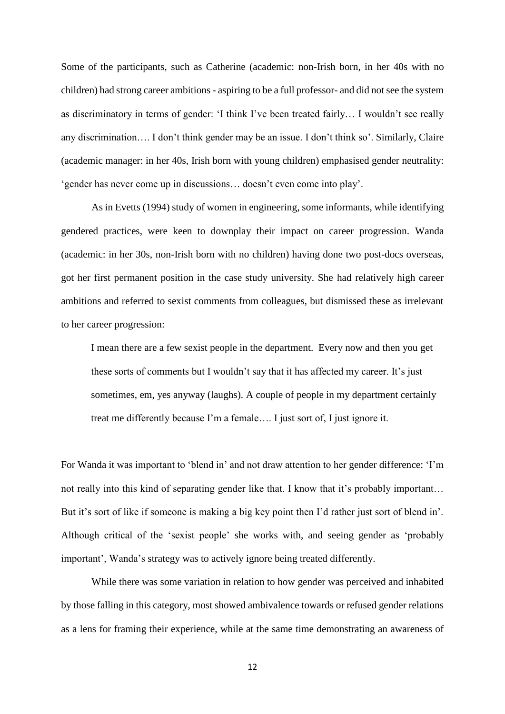Some of the participants, such as Catherine (academic: non-Irish born, in her 40s with no children) had strong career ambitions - aspiring to be a full professor- and did not see the system as discriminatory in terms of gender: 'I think I've been treated fairly… I wouldn't see really any discrimination…. I don't think gender may be an issue. I don't think so'. Similarly, Claire (academic manager: in her 40s, Irish born with young children) emphasised gender neutrality: 'gender has never come up in discussions… doesn't even come into play'.

As in Evetts (1994) study of women in engineering, some informants, while identifying gendered practices, were keen to downplay their impact on career progression. Wanda (academic: in her 30s, non-Irish born with no children) having done two post-docs overseas, got her first permanent position in the case study university. She had relatively high career ambitions and referred to sexist comments from colleagues, but dismissed these as irrelevant to her career progression:

I mean there are a few sexist people in the department. Every now and then you get these sorts of comments but I wouldn't say that it has affected my career. It's just sometimes, em, yes anyway (laughs). A couple of people in my department certainly treat me differently because I'm a female…. I just sort of, I just ignore it.

For Wanda it was important to 'blend in' and not draw attention to her gender difference: 'I'm not really into this kind of separating gender like that. I know that it's probably important... But it's sort of like if someone is making a big key point then I'd rather just sort of blend in'. Although critical of the 'sexist people' she works with, and seeing gender as 'probably important', Wanda's strategy was to actively ignore being treated differently.

While there was some variation in relation to how gender was perceived and inhabited by those falling in this category, most showed ambivalence towards or refused gender relations as a lens for framing their experience, while at the same time demonstrating an awareness of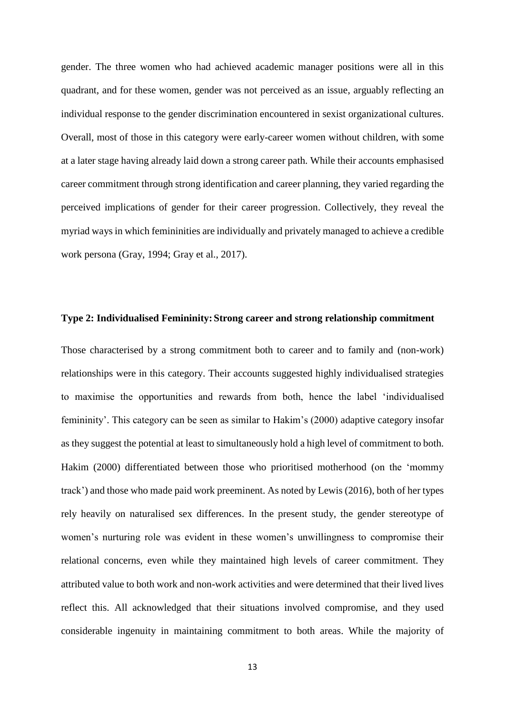gender. The three women who had achieved academic manager positions were all in this quadrant, and for these women, gender was not perceived as an issue, arguably reflecting an individual response to the gender discrimination encountered in sexist organizational cultures. Overall, most of those in this category were early-career women without children, with some at a later stage having already laid down a strong career path. While their accounts emphasised career commitment through strong identification and career planning, they varied regarding the perceived implications of gender for their career progression. Collectively, they reveal the myriad ways in which femininities are individually and privately managed to achieve a credible work persona (Gray, 1994; Gray et al., 2017).

#### **Type 2: Individualised Femininity:Strong career and strong relationship commitment**

Those characterised by a strong commitment both to career and to family and (non-work) relationships were in this category. Their accounts suggested highly individualised strategies to maximise the opportunities and rewards from both, hence the label 'individualised femininity'. This category can be seen as similar to Hakim's (2000) adaptive category insofar as they suggest the potential at least to simultaneously hold a high level of commitment to both. Hakim (2000) differentiated between those who prioritised motherhood (on the 'mommy track') and those who made paid work preeminent. As noted by Lewis (2016), both of her types rely heavily on naturalised sex differences. In the present study, the gender stereotype of women's nurturing role was evident in these women's unwillingness to compromise their relational concerns, even while they maintained high levels of career commitment. They attributed value to both work and non-work activities and were determined that their lived lives reflect this. All acknowledged that their situations involved compromise, and they used considerable ingenuity in maintaining commitment to both areas. While the majority of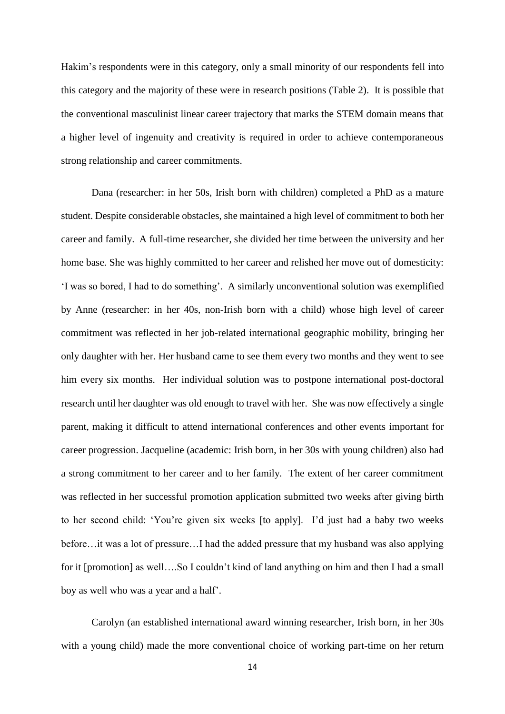Hakim's respondents were in this category, only a small minority of our respondents fell into this category and the majority of these were in research positions (Table 2). It is possible that the conventional masculinist linear career trajectory that marks the STEM domain means that a higher level of ingenuity and creativity is required in order to achieve contemporaneous strong relationship and career commitments.

Dana (researcher: in her 50s, Irish born with children) completed a PhD as a mature student. Despite considerable obstacles, she maintained a high level of commitment to both her career and family. A full-time researcher, she divided her time between the university and her home base. She was highly committed to her career and relished her move out of domesticity: 'I was so bored, I had to do something'. A similarly unconventional solution was exemplified by Anne (researcher: in her 40s, non-Irish born with a child) whose high level of career commitment was reflected in her job-related international geographic mobility, bringing her only daughter with her. Her husband came to see them every two months and they went to see him every six months. Her individual solution was to postpone international post-doctoral research until her daughter was old enough to travel with her. She was now effectively a single parent, making it difficult to attend international conferences and other events important for career progression. Jacqueline (academic: Irish born, in her 30s with young children) also had a strong commitment to her career and to her family. The extent of her career commitment was reflected in her successful promotion application submitted two weeks after giving birth to her second child: 'You're given six weeks [to apply]. I'd just had a baby two weeks before…it was a lot of pressure…I had the added pressure that my husband was also applying for it [promotion] as well....So I couldn't kind of land anything on him and then I had a small boy as well who was a year and a half'.

Carolyn (an established international award winning researcher, Irish born, in her 30s with a young child) made the more conventional choice of working part-time on her return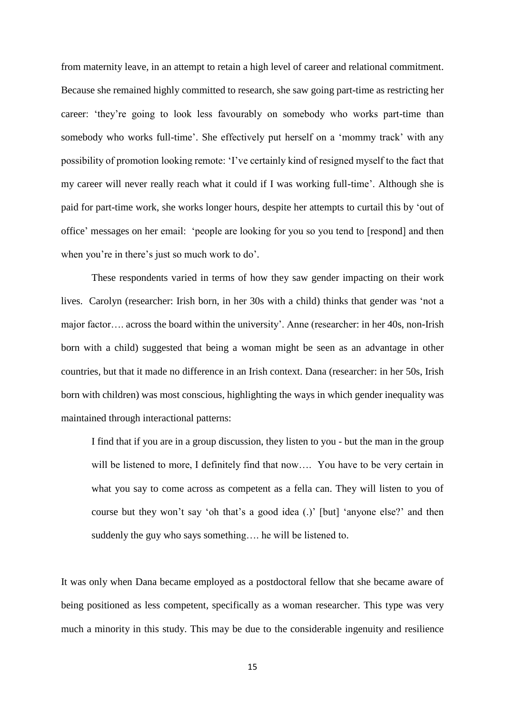from maternity leave, in an attempt to retain a high level of career and relational commitment. Because she remained highly committed to research, she saw going part-time as restricting her career: 'they're going to look less favourably on somebody who works part-time than somebody who works full-time'. She effectively put herself on a 'mommy track' with any possibility of promotion looking remote: 'I've certainly kind of resigned myself to the fact that my career will never really reach what it could if I was working full-time'. Although she is paid for part-time work, she works longer hours, despite her attempts to curtail this by 'out of office' messages on her email: 'people are looking for you so you tend to [respond] and then when you're in there's just so much work to do'.

These respondents varied in terms of how they saw gender impacting on their work lives. Carolyn (researcher: Irish born, in her 30s with a child) thinks that gender was 'not a major factor…. across the board within the university'. Anne (researcher: in her 40s, non-Irish born with a child) suggested that being a woman might be seen as an advantage in other countries, but that it made no difference in an Irish context. Dana (researcher: in her 50s, Irish born with children) was most conscious, highlighting the ways in which gender inequality was maintained through interactional patterns:

I find that if you are in a group discussion, they listen to you - but the man in the group will be listened to more, I definitely find that now.... You have to be very certain in what you say to come across as competent as a fella can. They will listen to you of course but they won't say 'oh that's a good idea (.)' [but] 'anyone else?' and then suddenly the guy who says something…. he will be listened to.

It was only when Dana became employed as a postdoctoral fellow that she became aware of being positioned as less competent, specifically as a woman researcher. This type was very much a minority in this study. This may be due to the considerable ingenuity and resilience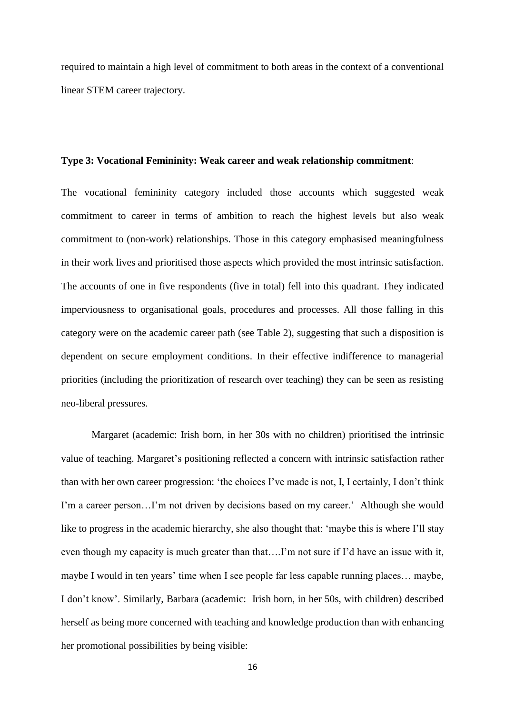required to maintain a high level of commitment to both areas in the context of a conventional linear STEM career trajectory.

#### **Type 3: Vocational Femininity: Weak career and weak relationship commitment**:

The vocational femininity category included those accounts which suggested weak commitment to career in terms of ambition to reach the highest levels but also weak commitment to (non-work) relationships. Those in this category emphasised meaningfulness in their work lives and prioritised those aspects which provided the most intrinsic satisfaction. The accounts of one in five respondents (five in total) fell into this quadrant. They indicated imperviousness to organisational goals, procedures and processes. All those falling in this category were on the academic career path (see Table 2), suggesting that such a disposition is dependent on secure employment conditions. In their effective indifference to managerial priorities (including the prioritization of research over teaching) they can be seen as resisting neo-liberal pressures.

Margaret (academic: Irish born, in her 30s with no children) prioritised the intrinsic value of teaching. Margaret's positioning reflected a concern with intrinsic satisfaction rather than with her own career progression: 'the choices I've made is not, I, I certainly, I don't think I'm a career person…I'm not driven by decisions based on my career.' Although she would like to progress in the academic hierarchy, she also thought that: 'maybe this is where I'll stay even though my capacity is much greater than that….I'm not sure if I'd have an issue with it, maybe I would in ten years' time when I see people far less capable running places… maybe, I don't know'. Similarly, Barbara (academic: Irish born, in her 50s, with children) described herself as being more concerned with teaching and knowledge production than with enhancing her promotional possibilities by being visible: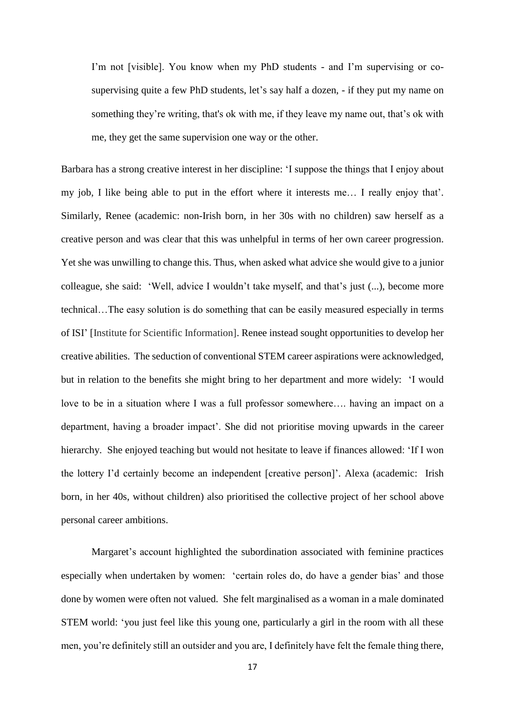I'm not [visible]. You know when my PhD students - and I'm supervising or cosupervising quite a few PhD students, let's say half a dozen, - if they put my name on something they're writing, that's ok with me, if they leave my name out, that's ok with me, they get the same supervision one way or the other.

Barbara has a strong creative interest in her discipline: 'I suppose the things that I enjoy about my job, I like being able to put in the effort where it interests me… I really enjoy that'. Similarly, Renee (academic: non-Irish born, in her 30s with no children) saw herself as a creative person and was clear that this was unhelpful in terms of her own career progression. Yet she was unwilling to change this. Thus, when asked what advice she would give to a junior colleague, she said: 'Well, advice I wouldn't take myself, and that's just (...), become more technical…The easy solution is do something that can be easily measured especially in terms of ISI' [Institute for Scientific Information]. Renee instead sought opportunities to develop her creative abilities. The seduction of conventional STEM career aspirations were acknowledged, but in relation to the benefits she might bring to her department and more widely: 'I would love to be in a situation where I was a full professor somewhere…. having an impact on a department, having a broader impact'. She did not prioritise moving upwards in the career hierarchy. She enjoyed teaching but would not hesitate to leave if finances allowed: 'If I won the lottery I'd certainly become an independent [creative person]'. Alexa (academic: Irish born, in her 40s, without children) also prioritised the collective project of her school above personal career ambitions.

Margaret's account highlighted the subordination associated with feminine practices especially when undertaken by women: 'certain roles do, do have a gender bias' and those done by women were often not valued. She felt marginalised as a woman in a male dominated STEM world: 'you just feel like this young one, particularly a girl in the room with all these men, you're definitely still an outsider and you are, I definitely have felt the female thing there,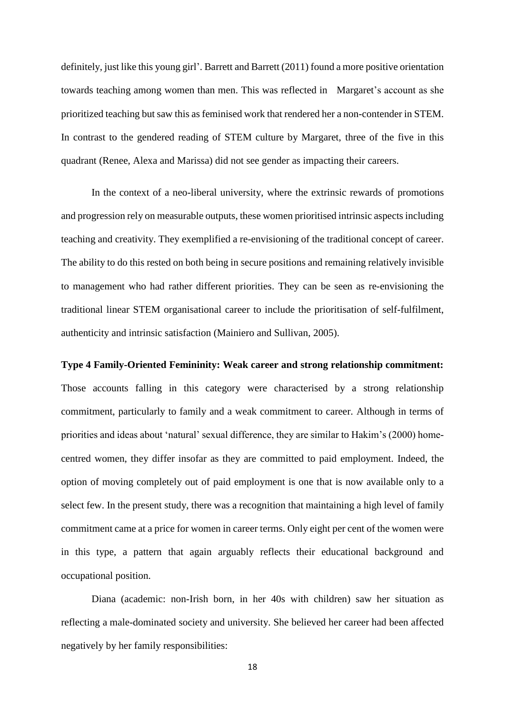definitely, just like this young girl'. Barrett and Barrett (2011) found a more positive orientation towards teaching among women than men. This was reflected in Margaret's account as she prioritized teaching but saw this as feminised work that rendered her a non-contender in STEM. In contrast to the gendered reading of STEM culture by Margaret, three of the five in this quadrant (Renee, Alexa and Marissa) did not see gender as impacting their careers.

In the context of a neo-liberal university, where the extrinsic rewards of promotions and progression rely on measurable outputs, these women prioritised intrinsic aspects including teaching and creativity. They exemplified a re-envisioning of the traditional concept of career. The ability to do this rested on both being in secure positions and remaining relatively invisible to management who had rather different priorities. They can be seen as re-envisioning the traditional linear STEM organisational career to include the prioritisation of self-fulfilment, authenticity and intrinsic satisfaction (Mainiero and Sullivan, 2005).

#### **Type 4 Family-Oriented Femininity: Weak career and strong relationship commitment:**

Those accounts falling in this category were characterised by a strong relationship commitment, particularly to family and a weak commitment to career. Although in terms of priorities and ideas about 'natural' sexual difference, they are similar to Hakim's (2000) homecentred women, they differ insofar as they are committed to paid employment. Indeed, the option of moving completely out of paid employment is one that is now available only to a select few. In the present study, there was a recognition that maintaining a high level of family commitment came at a price for women in career terms. Only eight per cent of the women were in this type, a pattern that again arguably reflects their educational background and occupational position.

Diana (academic: non-Irish born, in her 40s with children) saw her situation as reflecting a male-dominated society and university. She believed her career had been affected negatively by her family responsibilities: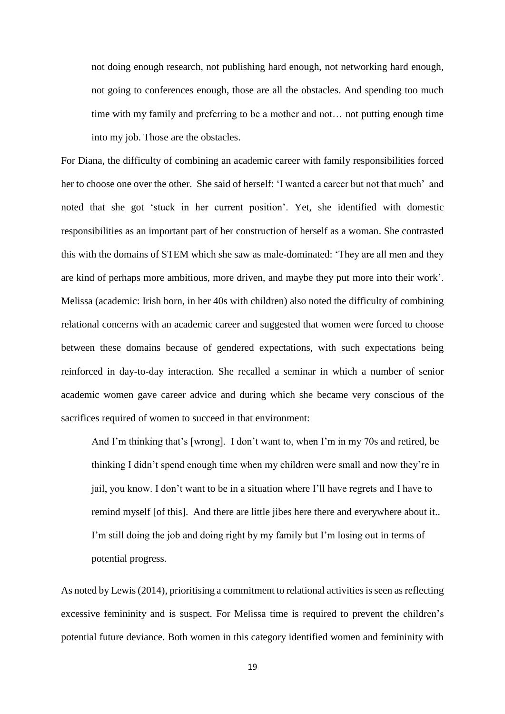not doing enough research, not publishing hard enough, not networking hard enough, not going to conferences enough, those are all the obstacles. And spending too much time with my family and preferring to be a mother and not… not putting enough time into my job. Those are the obstacles.

For Diana, the difficulty of combining an academic career with family responsibilities forced her to choose one over the other. She said of herself: 'I wanted a career but not that much' and noted that she got 'stuck in her current position'. Yet, she identified with domestic responsibilities as an important part of her construction of herself as a woman. She contrasted this with the domains of STEM which she saw as male-dominated: 'They are all men and they are kind of perhaps more ambitious, more driven, and maybe they put more into their work'. Melissa (academic: Irish born, in her 40s with children) also noted the difficulty of combining relational concerns with an academic career and suggested that women were forced to choose between these domains because of gendered expectations, with such expectations being reinforced in day-to-day interaction. She recalled a seminar in which a number of senior academic women gave career advice and during which she became very conscious of the sacrifices required of women to succeed in that environment:

And I'm thinking that's [wrong]. I don't want to, when I'm in my 70s and retired, be thinking I didn't spend enough time when my children were small and now they're in jail, you know. I don't want to be in a situation where I'll have regrets and I have to remind myself [of this]. And there are little jibes here there and everywhere about it.. I'm still doing the job and doing right by my family but I'm losing out in terms of potential progress.

As noted by Lewis (2014), prioritising a commitment to relational activities is seen as reflecting excessive femininity and is suspect. For Melissa time is required to prevent the children's potential future deviance. Both women in this category identified women and femininity with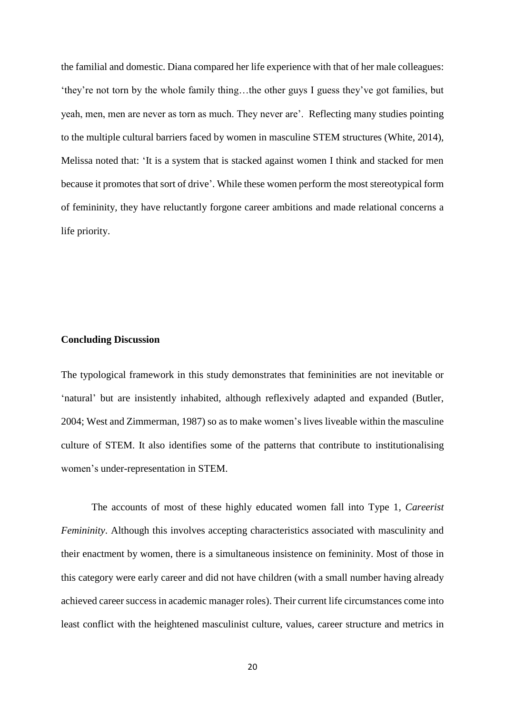the familial and domestic. Diana compared her life experience with that of her male colleagues: 'they're not torn by the whole family thing…the other guys I guess they've got families, but yeah, men, men are never as torn as much. They never are'. Reflecting many studies pointing to the multiple cultural barriers faced by women in masculine STEM structures (White, 2014), Melissa noted that: 'It is a system that is stacked against women I think and stacked for men because it promotes that sort of drive'. While these women perform the most stereotypical form of femininity, they have reluctantly forgone career ambitions and made relational concerns a life priority.

#### **Concluding Discussion**

The typological framework in this study demonstrates that femininities are not inevitable or 'natural' but are insistently inhabited, although reflexively adapted and expanded (Butler, 2004; West and Zimmerman, 1987) so as to make women's lives liveable within the masculine culture of STEM. It also identifies some of the patterns that contribute to institutionalising women's under-representation in STEM.

The accounts of most of these highly educated women fall into Type 1, *Careerist Femininity*. Although this involves accepting characteristics associated with masculinity and their enactment by women, there is a simultaneous insistence on femininity. Most of those in this category were early career and did not have children (with a small number having already achieved career success in academic manager roles). Their current life circumstances come into least conflict with the heightened masculinist culture, values, career structure and metrics in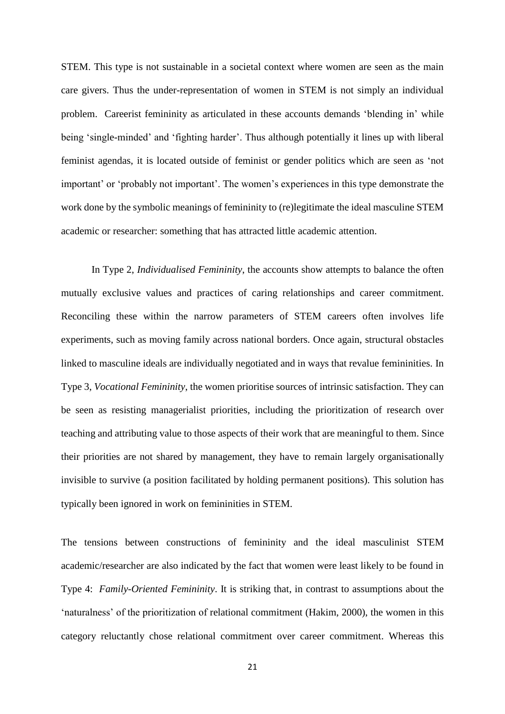STEM. This type is not sustainable in a societal context where women are seen as the main care givers. Thus the under-representation of women in STEM is not simply an individual problem. Careerist femininity as articulated in these accounts demands 'blending in' while being 'single-minded' and 'fighting harder'. Thus although potentially it lines up with liberal feminist agendas, it is located outside of feminist or gender politics which are seen as 'not important' or 'probably not important'. The women's experiences in this type demonstrate the work done by the symbolic meanings of femininity to (re)legitimate the ideal masculine STEM academic or researcher: something that has attracted little academic attention.

In Type 2, *Individualised Femininity*, the accounts show attempts to balance the often mutually exclusive values and practices of caring relationships and career commitment. Reconciling these within the narrow parameters of STEM careers often involves life experiments, such as moving family across national borders. Once again, structural obstacles linked to masculine ideals are individually negotiated and in ways that revalue femininities. In Type 3, *Vocational Femininity*, the women prioritise sources of intrinsic satisfaction. They can be seen as resisting managerialist priorities, including the prioritization of research over teaching and attributing value to those aspects of their work that are meaningful to them. Since their priorities are not shared by management, they have to remain largely organisationally invisible to survive (a position facilitated by holding permanent positions). This solution has typically been ignored in work on femininities in STEM.

The tensions between constructions of femininity and the ideal masculinist STEM academic/researcher are also indicated by the fact that women were least likely to be found in Type 4: *Family-Oriented Femininity*. It is striking that, in contrast to assumptions about the 'naturalness' of the prioritization of relational commitment (Hakim, 2000), the women in this category reluctantly chose relational commitment over career commitment. Whereas this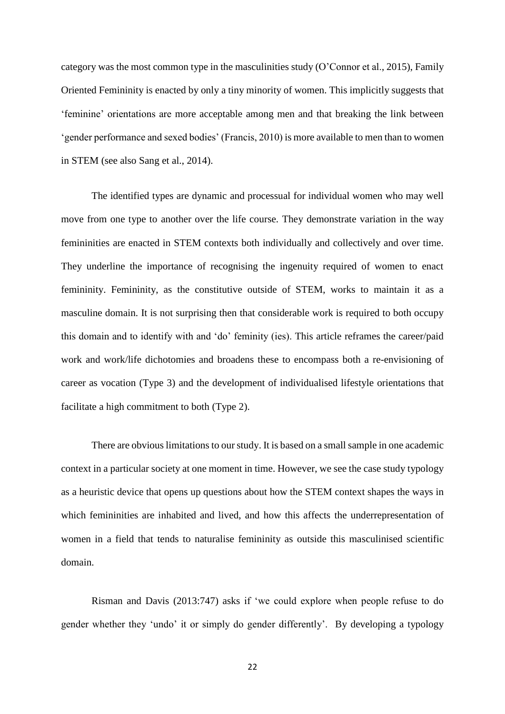category was the most common type in the masculinities study (O'Connor et al., 2015), Family Oriented Femininity is enacted by only a tiny minority of women. This implicitly suggests that 'feminine' orientations are more acceptable among men and that breaking the link between 'gender performance and sexed bodies' (Francis, 2010) is more available to men than to women in STEM (see also Sang et al., 2014).

The identified types are dynamic and processual for individual women who may well move from one type to another over the life course. They demonstrate variation in the way femininities are enacted in STEM contexts both individually and collectively and over time. They underline the importance of recognising the ingenuity required of women to enact femininity. Femininity, as the constitutive outside of STEM, works to maintain it as a masculine domain. It is not surprising then that considerable work is required to both occupy this domain and to identify with and 'do' feminity (ies). This article reframes the career/paid work and work/life dichotomies and broadens these to encompass both a re-envisioning of career as vocation (Type 3) and the development of individualised lifestyle orientations that facilitate a high commitment to both (Type 2).

There are obvious limitations to our study. It is based on a small sample in one academic context in a particular society at one moment in time. However, we see the case study typology as a heuristic device that opens up questions about how the STEM context shapes the ways in which femininities are inhabited and lived, and how this affects the underrepresentation of women in a field that tends to naturalise femininity as outside this masculinised scientific domain.

Risman and Davis (2013:747) asks if 'we could explore when people refuse to do gender whether they 'undo' it or simply do gender differently'. By developing a typology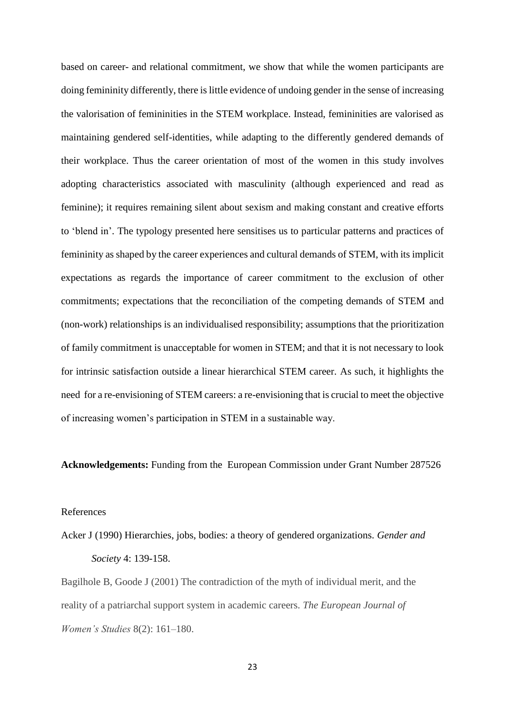based on career- and relational commitment, we show that while the women participants are doing femininity differently, there is little evidence of undoing gender in the sense of increasing the valorisation of femininities in the STEM workplace. Instead, femininities are valorised as maintaining gendered self-identities, while adapting to the differently gendered demands of their workplace. Thus the career orientation of most of the women in this study involves adopting characteristics associated with masculinity (although experienced and read as feminine); it requires remaining silent about sexism and making constant and creative efforts to 'blend in'. The typology presented here sensitises us to particular patterns and practices of femininity as shaped by the career experiences and cultural demands of STEM, with its implicit expectations as regards the importance of career commitment to the exclusion of other commitments; expectations that the reconciliation of the competing demands of STEM and (non-work) relationships is an individualised responsibility; assumptions that the prioritization of family commitment is unacceptable for women in STEM; and that it is not necessary to look for intrinsic satisfaction outside a linear hierarchical STEM career. As such, it highlights the need for a re-envisioning of STEM careers: a re-envisioning that is crucial to meet the objective of increasing women's participation in STEM in a sustainable way.

**Acknowledgements:** Funding from the European Commission under Grant Number 287526

#### References

Acker J (1990) Hierarchies, jobs, bodies: a theory of gendered organizations. *Gender and Society* 4: 139-158.

Bagilhole B, Goode J (2001) The contradiction of the myth of individual merit, and the reality of a patriarchal support system in academic careers. *The European Journal of Women's Studies* 8(2): 161–180.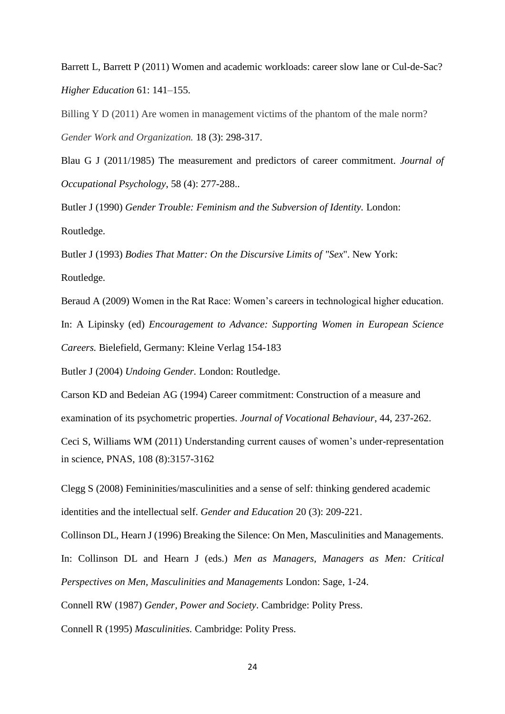Barrett L, Barrett P (2011) Women and academic workloads: career slow lane or Cul-de-Sac? *Higher Education* 61: 141–155.

Billing Y D (2011) Are women in management victims of the phantom of the male norm? *Gender Work and Organization.* 18 (3): 298-317.

Blau G J (2011/1985) The measurement and predictors of career commitment. *Journal of Occupational Psychology*, 58 (4): 277-288..

Butler J (1990) *Gender Trouble: Feminism and the Subversion of Identity.* London: Routledge.

Butler J (1993) *Bodies That Matter: On the Discursive Limits of "Sex*". New York: Routledge.

Beraud A (2009) Women in the Rat Race: Women's careers in technological higher education. In: A Lipinsky (ed) *Encouragement to Advance: Supporting Women in European Science Careers.* Bielefield, Germany: Kleine Verlag 154-183

Butler J (2004) *Undoing Gender.* London: Routledge.

Carson KD and Bedeian AG (1994) Career commitment: Construction of a measure and examination of its psychometric properties. *Journal of Vocational Behaviour*, 44, 237-262.

Ceci S, Williams WM (2011) Understanding current causes of women's under-representation in science, PNAS, 108 (8):3157-3162

Clegg S (2008) Femininities/masculinities and a sense of self: thinking gendered academic identities and the intellectual self. *Gender and Education* 20 (3): 209-221.

Collinson DL, Hearn J (1996) Breaking the Silence: On Men, Masculinities and Managements.

In: Collinson DL and Hearn J (eds.) *Men as Managers, Managers as Men: Critical Perspectives on Men, Masculinities and Managements* London: Sage, 1-24.

Connell RW (1987) *Gender, Power and Society*. Cambridge: Polity Press.

Connell R (1995) *Masculinities.* Cambridge: Polity Press.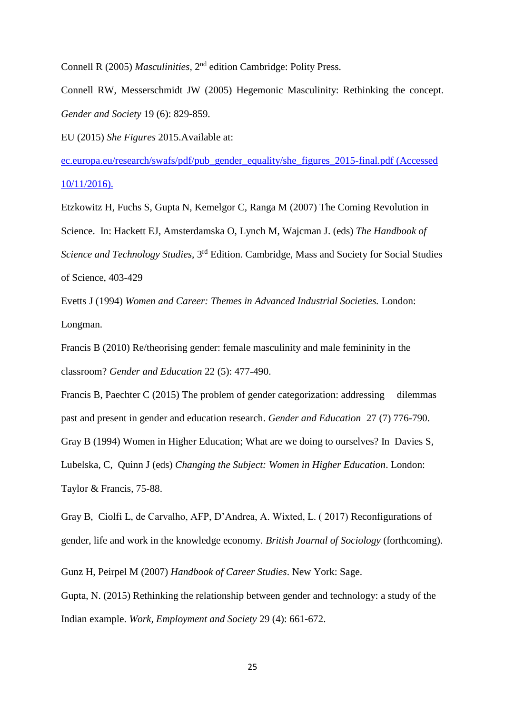Connell R (2005) *Masculinities*, 2<sup>nd</sup> edition Cambridge: Polity Press.

Connell RW, Messerschmidt JW (2005) Hegemonic Masculinity: Rethinking the concept. *Gender and Society* 19 (6): 829-859.

EU (2015) *She Figures* 2015.Available at:

[ec.europa.eu/research/swafs/pdf/pub\\_gender\\_equality/she\\_figures\\_2015-final.pdf](http://ec.europa.eu/research/swafs/pdf/pub_gender_equality/she_figures_2015-final.pdf) (Accessed 10/11/2016).

Etzkowitz H, Fuchs S, Gupta N, Kemelgor C, Ranga M (2007) The Coming Revolution in Science. In: Hackett EJ, Amsterdamska O, Lynch M, Wajcman J. (eds) *The Handbook of*  Science and Technology Studies, 3<sup>rd</sup> Edition. Cambridge, Mass and Society for Social Studies of Science, 403-429

Evetts J (1994) *Women and Career: Themes in Advanced Industrial Societies.* London: Longman.

Francis B (2010) Re/theorising gender: female masculinity and male femininity in the classroom? *Gender and Education* 22 (5): 477-490.

Francis B, Paechter C (2015) The problem of gender categorization: addressing dilemmas past and present in gender and education research. *Gender and Education* 27 (7) 776-790. Gray B (1994) Women in Higher Education; What are we doing to ourselves? In Davies S, Lubelska, C, Quinn J (eds) *Changing the Subject: Women in Higher Education*. London: Taylor & Francis, 75-88.

Gray B, Ciolfi L, de Carvalho, AFP, D'Andrea, A. Wixted, L. ( 2017) Reconfigurations of gender, life and work in the knowledge economy. *British Journal of Sociology* (forthcoming).

Gunz H, Peirpel M (2007) *Handbook of Career Studies*. New York: Sage.

Gupta, N. (2015) Rethinking the relationship between gender and technology: a study of the Indian example. *Work, Employment and Society* 29 (4): 661-672.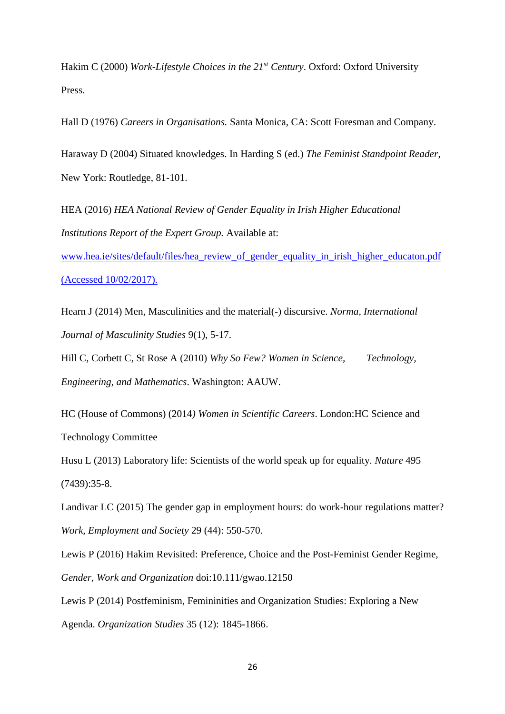Hakim C (2000) *Work-Lifestyle Choices in the 21st Century*. Oxford: Oxford University Press.

Hall D (1976) *Careers in Organisations.* Santa Monica, CA: Scott Foresman and Company.

Haraway D (2004) Situated knowledges. In Harding S (ed.) *The Feminist Standpoint Reader*, New York: Routledge, 81-101.

HEA (2016) *HEA National Review of Gender Equality in Irish Higher Educational Institutions Report of the Expert Group.* Available at:

[www.hea.ie/sites/default/files/hea\\_review\\_of\\_gender\\_equality\\_in\\_irish\\_higher\\_educaton.pdf](http://www.hea.ie/sites/default/files/hea_review_of_gender_equality_in_irish_higher_educaton.pdf) (Accessed 10/02/2017).

Hearn J (2014) Men, Masculinities and the material(-) discursive. *Norma, International Journal of Masculinity Studies* 9(1), 5-17.

Hill C, Corbett C, St Rose A (2010) *Why So Few? Women in Science, Technology, Engineering, and Mathematics*. Washington: AAUW.

HC (House of Commons) (2014*) Women in Scientific Careers*. London:HC Science and Technology Committee

Husu L (2013) Laboratory life: Scientists of the world speak up for equality. *Nature* 495 (7439):35-8.

Landivar LC (2015) The gender gap in employment hours: do work-hour regulations matter? *Work, Employment and Society* 29 (44): 550-570.

Lewis P (2016) Hakim Revisited: Preference, Choice and the Post-Feminist Gender Regime, *Gender, Work and Organization* doi:10.111/gwao.12150

Lewis P (2014) Postfeminism, Femininities and Organization Studies: Exploring a New

Agenda. *Organization Studies* 35 (12): 1845-1866.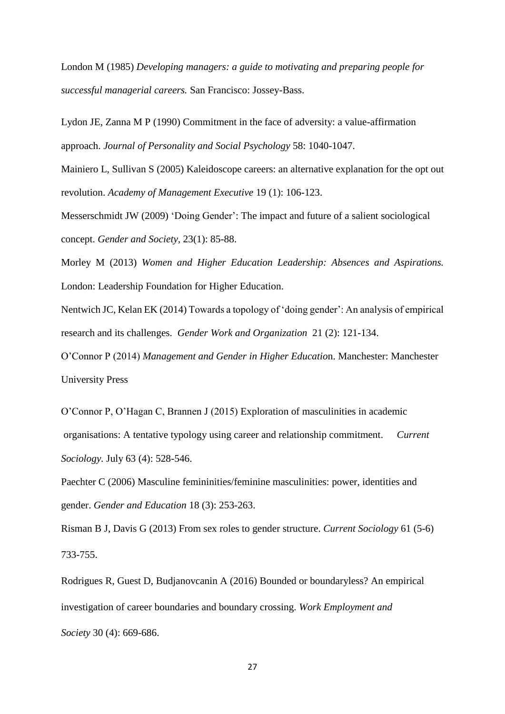London M (1985) *Developing managers: a guide to motivating and preparing people for successful managerial careers.* San Francisco: Jossey-Bass.

Lydon JE, Zanna M P (1990) Commitment in the face of adversity: a value-affirmation approach. *Journal of Personality and Social Psychology* 58: 1040-1047.

Mainiero L, Sullivan S (2005) Kaleidoscope careers: an alternative explanation for the opt out revolution. *Academy of Management Executive* 19 (1): 106-123.

Messerschmidt JW (2009) 'Doing Gender': The impact and future of a salient sociological concept. *Gender and Society,* 23(1): 85-88.

Morley M (2013) *Women and Higher Education Leadership: Absences and Aspirations.* London: Leadership Foundation for Higher Education.

Nentwich JC, Kelan EK (2014) Towards a topology of 'doing gender': An analysis of empirical research and its challenges. *Gender Work and Organization* 21 (2): 121-134.

O'Connor P (2014) *Management and Gender in Higher Educatio*n. Manchester: Manchester University Press

O'Connor P, O'Hagan C, Brannen J (2015) Exploration of masculinities in academic organisations: A tentative typology using career and relationship commitment. *Current Sociology.* July 63 (4): 528-546.

Paechter C (2006) Masculine femininities/feminine masculinities: power, identities and gender. *Gender and Education* 18 (3): 253-263.

Risman B J, Davis G (2013) From sex roles to gender structure. *Current Sociology* 61 (5-6) 733-755.

Rodrigues R, Guest D, Budjanovcanin A (2016) Bounded or boundaryless? An empirical investigation of career boundaries and boundary crossing. *Work Employment and Society* 30 (4): 669-686.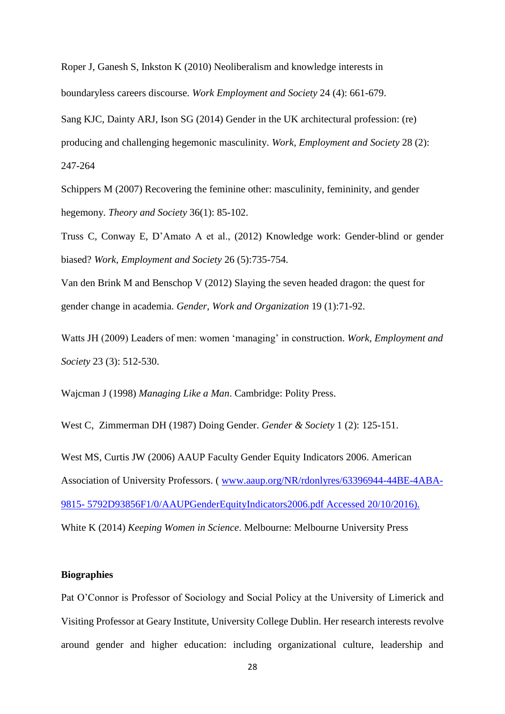Roper J, Ganesh S, Inkston K (2010) Neoliberalism and knowledge interests in boundaryless careers discourse. *Work Employment and Society* 24 (4): 661-679.

Sang KJC, Dainty ARJ, Ison SG (2014) Gender in the UK architectural profession: (re) producing and challenging hegemonic masculinity. *Work, Employment and Society* 28 (2): 247-264

Schippers M (2007) Recovering the feminine other: masculinity, femininity, and gender hegemony*. [Theory and Society](http://www.ingentaconnect.com/content/klu/ryso;jsessionid=3l5qauvo56qoi.alice)* 36(1): 85-102.

Truss C, Conway E, D'Amato A et al., (2012) Knowledge work: Gender-blind or gender biased? *Work, Employment and Society* 26 (5):735-754.

Van den Brink M and Benschop V (2012) Slaying the seven headed dragon: the quest for gender change in academia. *Gender, Work and Organization* 19 (1):71-92.

Watts JH (2009) Leaders of men: women 'managing' in construction. *Work, Employment and Society* 23 (3): 512-530.

Wajcman J (1998) *Managing Like a Man*. Cambridge: Polity Press.

West C, Zimmerman DH (1987) Doing Gender. *Gender & Society* 1 (2): 125-151.

West MS, Curtis JW (2006) AAUP Faculty Gender Equity Indicators 2006. American Association of University Professors. ( [www.aaup.org/NR/rdonlyres/63396944-44BE-4ABA-](http://www.aaup.org/NR/rdonlyres/63396944-44BE-4ABA-9815-%205792D93856F1/0/AAUPGenderEquityIndicators2006.pdf)9815- [5792D93856F1/0/AAUPGenderEquityIndicators2006.pdf](http://www.aaup.org/NR/rdonlyres/63396944-44BE-4ABA-9815-%205792D93856F1/0/AAUPGenderEquityIndicators2006.pdf) Accessed 20/10/2016). White K (2014) *Keeping Women in Science*. Melbourne: Melbourne University Press

# **Biographies**

Pat O'Connor is Professor of Sociology and Social Policy at the University of Limerick and Visiting Professor at Geary Institute, University College Dublin. Her research interests revolve around gender and higher education: including organizational culture, leadership and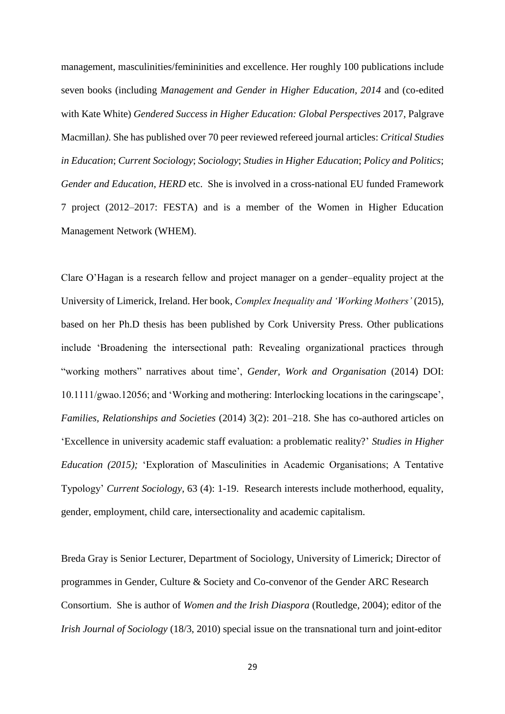management, masculinities/femininities and excellence. Her roughly 100 publications include seven books (including *Management and Gender in Higher Education, 2014* and (co-edited with Kate White) *Gendered Success in Higher Education: Global Perspectives* 2017, Palgrave Macmillan*)*. She has published over 70 peer reviewed refereed journal articles: *Critical Studies in Education*; *Current Sociology*; *Sociology*; *Studies in Higher Education*; *Policy and Politics*; *Gender and Education*, *HERD* etc. She is involved in a cross-national EU funded Framework 7 project (2012–2017: FESTA) and is a member of the Women in Higher Education Management Network (WHEM).

Clare O'Hagan is a research fellow and project manager on a gender–equality project at the University of Limerick, Ireland. Her book, *Complex Inequality and 'Working Mothers'* (2015), based on her Ph.D thesis has been published by Cork University Press. Other publications include 'Broadening the intersectional path: Revealing organizational practices through "working mothers" narratives about time', *Gender, Work and Organisation* (2014) DOI: 10.1111/gwao.12056; and 'Working and mothering: Interlocking locations in the caringscape', *Families, Relationships and Societies* (2014) 3(2): 201–218. She has co-authored articles on 'Excellence in university academic staff evaluation: a problematic reality?' *Studies in Higher Education (2015);* 'Exploration of Masculinities in Academic Organisations; A Tentative Typology' *Current Sociology*, 63 (4): 1-19. Research interests include motherhood, equality, gender, employment, child care, intersectionality and academic capitalism.

Breda Gray is Senior Lecturer, Department of Sociology, University of Limerick; Director of programmes in Gender, Culture & Society and Co-convenor of the Gender ARC Research Consortium. She is author of *Women and the Irish Diaspora* (Routledge, 2004); editor of the *Irish Journal of Sociology* (18/3, 2010) special issue on the transnational turn and joint-editor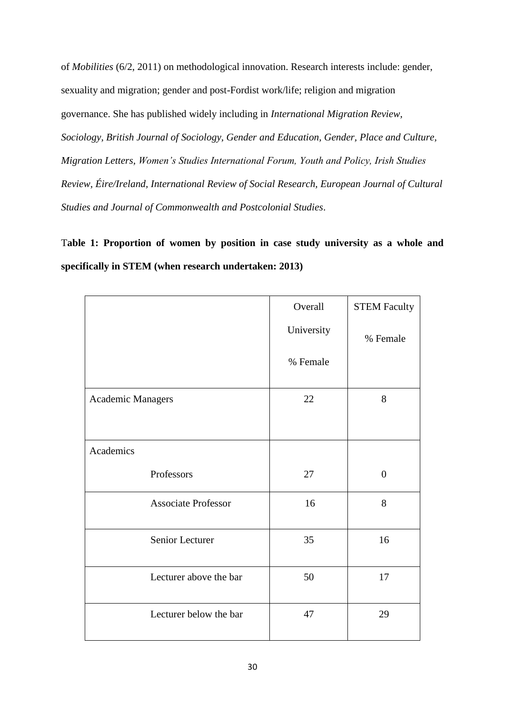of *Mobilities* (6/2, 2011) on methodological innovation. Research interests include: gender, sexuality and migration; gender and post-Fordist work/life; religion and migration governance. She has published widely including in *International Migration Review, Sociology, British Journal of Sociology, Gender and Education, Gender, Place and Culture, Migration Letters, Women's Studies International Forum, Youth and Policy, Irish Studies Review, Éire/Ireland, International Review of Social Research, European Journal of Cultural Studies and Journal of Commonwealth and Postcolonial Studies*.

T**able 1: Proportion of women by position in case study university as a whole and specifically in STEM (when research undertaken: 2013)**

|                            | Overall    | <b>STEM Faculty</b> |  |
|----------------------------|------------|---------------------|--|
|                            | University | % Female            |  |
|                            | % Female   |                     |  |
| <b>Academic Managers</b>   | 22         | 8                   |  |
|                            |            |                     |  |
| Academics                  |            |                     |  |
| Professors                 | 27         | $\overline{0}$      |  |
| <b>Associate Professor</b> | 16         | 8                   |  |
| Senior Lecturer            | 35         | 16                  |  |
| Lecturer above the bar     | 50         | 17                  |  |
| Lecturer below the bar     | 47         | 29                  |  |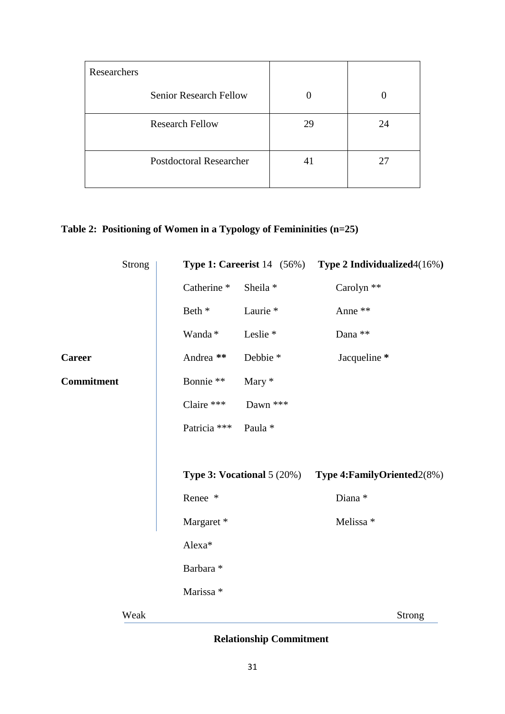| Researchers                    |    |    |
|--------------------------------|----|----|
| <b>Senior Research Fellow</b>  |    |    |
| <b>Research Fellow</b>         | 29 | 24 |
| <b>Postdoctoral Researcher</b> | 41 | 27 |

# **Table 2: Positioning of Women in a Typology of Femininities (n=25)**

|                   | <b>Strong</b> | <b>Type 1: Careerist</b> $14$ (56%) |                     | Type 2 Individualized 4(16%)  |        |
|-------------------|---------------|-------------------------------------|---------------------|-------------------------------|--------|
|                   |               | Catherine <sup>*</sup>              | Sheila *            | Carolyn **                    |        |
|                   |               | Beth *                              | Laurie <sup>*</sup> | Anne **                       |        |
|                   |               | Wanda*                              | Leslie <sup>*</sup> | Dana $\ast\ast$               |        |
| <b>Career</b>     |               | Andrea **                           | Debbie *            | Jacqueline *                  |        |
| <b>Commitment</b> |               | Bonnie **                           | Mary *              |                               |        |
|                   |               | Claire ***                          | Dawn ***            |                               |        |
|                   |               | Patricia ***                        | Paula *             |                               |        |
|                   |               |                                     |                     |                               |        |
|                   |               | Type 3: Vocational 5 (20%)          |                     | Type 4: Family Oriented 2(8%) |        |
|                   |               | Renee *                             |                     |                               |        |
|                   |               | Margaret*                           |                     | Melissa *                     |        |
|                   |               | Alexa*                              |                     |                               |        |
|                   |               | Barbara *                           |                     |                               |        |
|                   |               | Marissa *                           |                     |                               |        |
|                   | Weak          |                                     |                     |                               | Strong |
|                   |               |                                     |                     |                               |        |

# **Relationship Commitment**